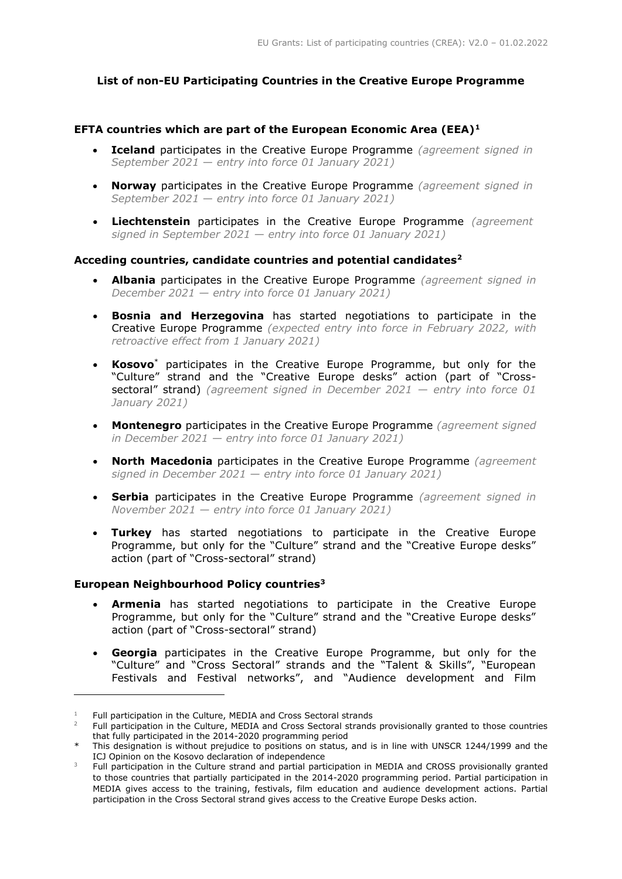# **List of non-EU Participating Countries in the Creative Europe Programme**

## **EFTA countries which are part of the European Economic Area (EEA)<sup>1</sup>**

- **Iceland** participates in the Creative Europe Programme *(agreement signed in September 2021* — *entry into force 01 January 2021)*
- **Norway** participates in the Creative Europe Programme *(agreement signed in September 2021* — *entry into force 01 January 2021)*
- **Liechtenstein** participates in the Creative Europe Programme *(agreement signed in September 2021 — entry into force 01 January 2021)*

### **Acceding countries, candidate countries and potential candidates<sup>2</sup>**

- **Albania** participates in the Creative Europe Programme *(agreement signed in December 2021 — entry into force 01 January 2021)*
- **Bosnia and Herzegovina** has started negotiations to participate in the Creative Europe Programme *(expected entry into force in February 2022, with retroactive effect from 1 January 2021)*
- **Kosovo**\* participates in the Creative Europe Programme, but only for the "Culture" strand and the "Creative Europe desks" action (part of "Crosssectoral" strand) *(agreement signed in December 2021 — entry into force 01 January 2021)*
- **Montenegro** participates in the Creative Europe Programme *(agreement signed in December 2021 — entry into force 01 January 2021)*
- **North Macedonia** participates in the Creative Europe Programme *(agreement signed in December 2021 — entry into force 01 January 2021)*
- **Serbia** participates in the Creative Europe Programme *(agreement signed in November 2021 — entry into force 01 January 2021)*
- **Turkey** has started negotiations to participate in the Creative Europe Programme, but only for the "Culture" strand and the "Creative Europe desks" action (part of "Cross-sectoral" strand)

### **European Neighbourhood Policy countries<sup>3</sup>**

-

- **Armenia** has started negotiations to participate in the Creative Europe Programme, but only for the "Culture" strand and the "Creative Europe desks" action (part of "Cross-sectoral" strand)
- **Georgia** participates in the Creative Europe Programme, but only for the "Culture" and "Cross Sectoral" strands and the "Talent & Skills", "European Festivals and Festival networks", and "Audience development and Film

<sup>&</sup>lt;sup>1</sup> Full participation in the Culture, MEDIA and Cross Sectoral strands

<sup>2</sup> Full participation in the Culture, MEDIA and Cross Sectoral strands provisionally granted to those countries that fully participated in the 2014-2020 programming period

This designation is without prejudice to positions on status, and is in line with UNSCR 1244/1999 and the ICJ Opinion on the Kosovo declaration of independence

<sup>&</sup>lt;sup>3</sup> Full participation in the Culture strand and partial participation in MEDIA and CROSS provisionally granted to those countries that partially participated in the 2014-2020 programming period. Partial participation in MEDIA gives access to the training, festivals, film education and audience development actions. Partial participation in the Cross Sectoral strand gives access to the Creative Europe Desks action.